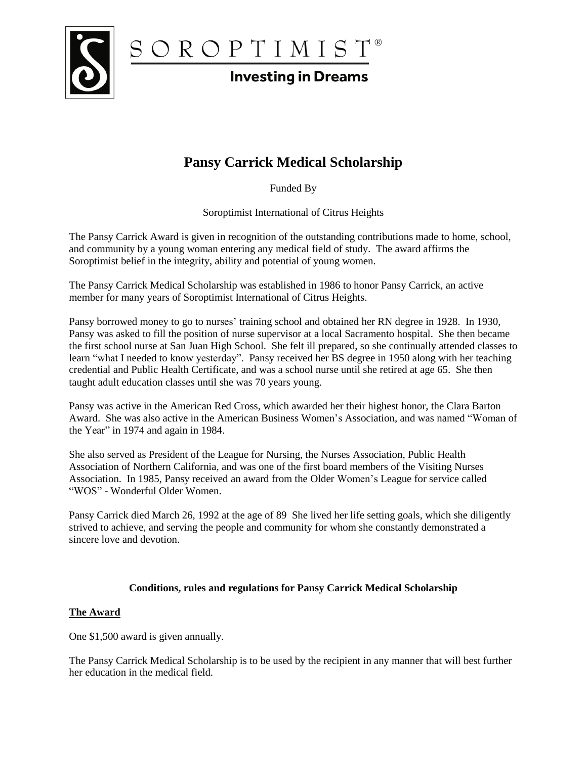

 $S OR OP T I M I S T <sup>$\circ$</sup>    
Investina in Dreams$ </u>

# **Investing in Dreams**

# **Pansy Carrick Medical Scholarship**

Funded By

Soroptimist International of Citrus Heights

The Pansy Carrick Award is given in recognition of the outstanding contributions made to home, school, and community by a young woman entering any medical field of study. The award affirms the Soroptimist belief in the integrity, ability and potential of young women.

The Pansy Carrick Medical Scholarship was established in 1986 to honor Pansy Carrick, an active member for many years of Soroptimist International of Citrus Heights.

Pansy borrowed money to go to nurses' training school and obtained her RN degree in 1928. In 1930, Pansy was asked to fill the position of nurse supervisor at a local Sacramento hospital. She then became the first school nurse at San Juan High School. She felt ill prepared, so she continually attended classes to learn "what I needed to know yesterday". Pansy received her BS degree in 1950 along with her teaching credential and Public Health Certificate, and was a school nurse until she retired at age 65. She then taught adult education classes until she was 70 years young.

Pansy was active in the American Red Cross, which awarded her their highest honor, the Clara Barton Award. She was also active in the American Business Women's Association, and was named "Woman of the Year" in 1974 and again in 1984.

She also served as President of the League for Nursing, the Nurses Association, Public Health Association of Northern California, and was one of the first board members of the Visiting Nurses Association. In 1985, Pansy received an award from the Older Women's League for service called "WOS" - Wonderful Older Women.

Pansy Carrick died March 26, 1992 at the age of 89 She lived her life setting goals, which she diligently strived to achieve, and serving the people and community for whom she constantly demonstrated a sincere love and devotion.

## **Conditions, rules and regulations for Pansy Carrick Medical Scholarship**

## **The Award**

One \$1,500 award is given annually.

The Pansy Carrick Medical Scholarship is to be used by the recipient in any manner that will best further her education in the medical field.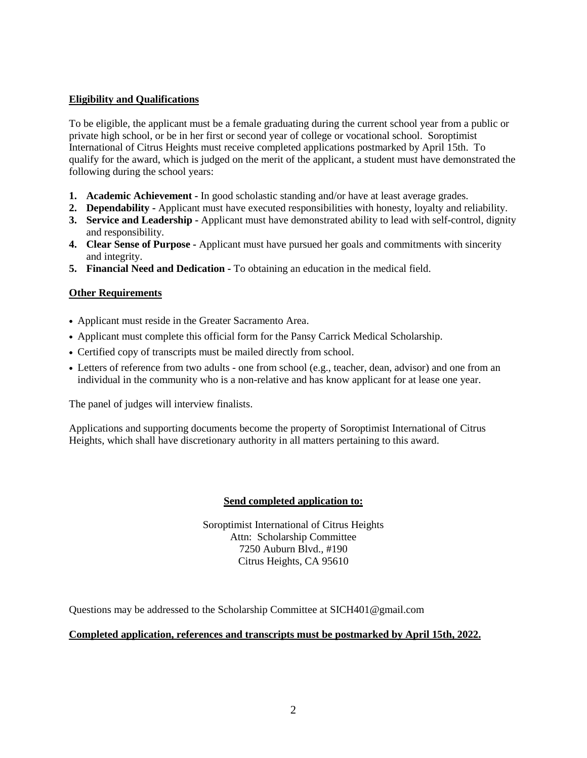### **Eligibility and Qualifications**

To be eligible, the applicant must be a female graduating during the current school year from a public or private high school, or be in her first or second year of college or vocational school. Soroptimist International of Citrus Heights must receive completed applications postmarked by April 15th. To qualify for the award, which is judged on the merit of the applicant, a student must have demonstrated the following during the school years:

- **1. Academic Achievement -** In good scholastic standing and/or have at least average grades.
- **2. Dependability -** Applicant must have executed responsibilities with honesty, loyalty and reliability.
- **3. Service and Leadership -** Applicant must have demonstrated ability to lead with self-control, dignity and responsibility.
- **4. Clear Sense of Purpose -** Applicant must have pursued her goals and commitments with sincerity and integrity.
- **5. Financial Need and Dedication -** To obtaining an education in the medical field.

### **Other Requirements**

- Applicant must reside in the Greater Sacramento Area.
- Applicant must complete this official form for the Pansy Carrick Medical Scholarship.
- Certified copy of transcripts must be mailed directly from school.
- Letters of reference from two adults one from school (e.g., teacher, dean, advisor) and one from an individual in the community who is a non-relative and has know applicant for at lease one year.

The panel of judges will interview finalists.

Applications and supporting documents become the property of Soroptimist International of Citrus Heights, which shall have discretionary authority in all matters pertaining to this award.

#### **Send completed application to:**

Soroptimist International of Citrus Heights Attn: Scholarship Committee 7250 Auburn Blvd., #190 Citrus Heights, CA 95610

Questions may be addressed to the Scholarship Committee at SICH401@gmail.com

#### **Completed application, references and transcripts must be postmarked by April 15th, 2022.**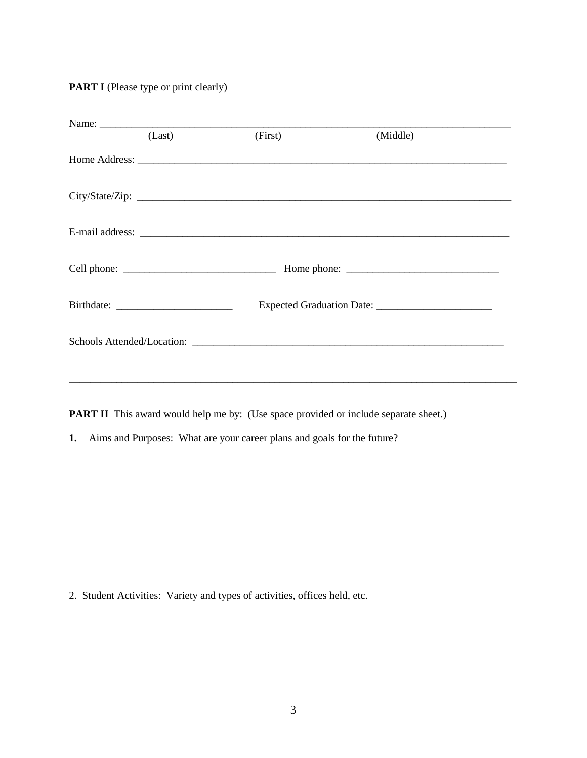**PART I** (Please type or print clearly)

| Name:<br>(Last) | (First) | (Middle) |  |
|-----------------|---------|----------|--|
|                 |         |          |  |
|                 |         |          |  |
|                 |         |          |  |
|                 |         |          |  |
|                 |         |          |  |
|                 |         |          |  |
|                 |         |          |  |

**PART II** This award would help me by: (Use space provided or include separate sheet.)

**1.** Aims and Purposes: What are your career plans and goals for the future?

2. Student Activities: Variety and types of activities, offices held, etc.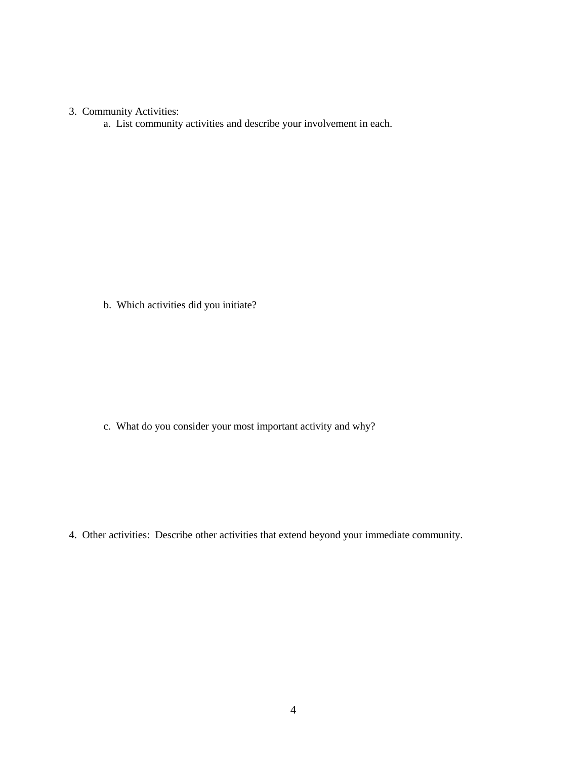## 3. Community Activities:

a. List community activities and describe your involvement in each.

b. Which activities did you initiate?

c. What do you consider your most important activity and why?

4. Other activities: Describe other activities that extend beyond your immediate community.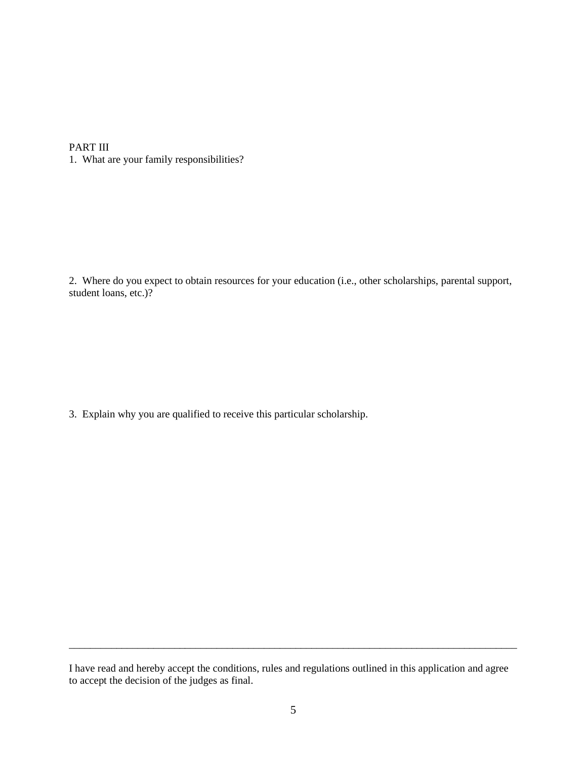### PART III

1. What are your family responsibilities?

2. Where do you expect to obtain resources for your education (i.e., other scholarships, parental support, student loans, etc.)?

3. Explain why you are qualified to receive this particular scholarship.

\_\_\_\_\_\_\_\_\_\_\_\_\_\_\_\_\_\_\_\_\_\_\_\_\_\_\_\_\_\_\_\_\_\_\_\_\_\_\_\_\_\_\_\_\_\_\_\_\_\_\_\_\_\_\_\_\_\_\_\_\_\_\_\_\_\_\_\_\_\_\_\_\_\_\_\_\_\_\_\_\_\_\_\_\_

I have read and hereby accept the conditions, rules and regulations outlined in this application and agree to accept the decision of the judges as final.